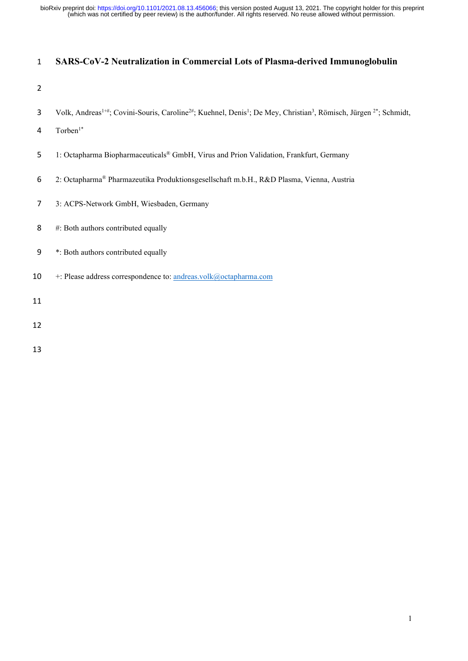(which was not certified by peer review) is the author/funder. All rights reserved. No reuse allowed without permission. bioRxiv preprint doi: [https://doi.org/10.1101/2021.08.13.456066;](https://doi.org/10.1101/2021.08.13.456066) this version posted August 13, 2021. The copyright holder for this preprint

# **SARS-CoV-2 Neutralization in Commercial Lots of Plasma-derived Immunoglobulin**

- 
- 3 Volk, Andreas<sup>1+#</sup>; Covini-Souris, Caroline<sup>2#</sup>; Kuehnel, Denis<sup>1</sup>; De Mey, Christian<sup>3</sup>, Römisch, Jürgen<sup>2\*</sup>; Schmidt,
- 4 Torben $1^*$
- 5 1: Octapharma Biopharmaceuticals<sup>®</sup> GmbH, Virus and Prion Validation, Frankfurt, Germany
- 2: Octapharma® Pharmazeutika Produktionsgesellschaft m.b.H., R&D Plasma, Vienna, Austria
- 3: ACPS-Network GmbH, Wiesbaden, Germany
- #: Both authors contributed equally
- \*: Both authors contributed equally
- +: Please address correspondence to: andreas.volk@octapharma.com
- 
-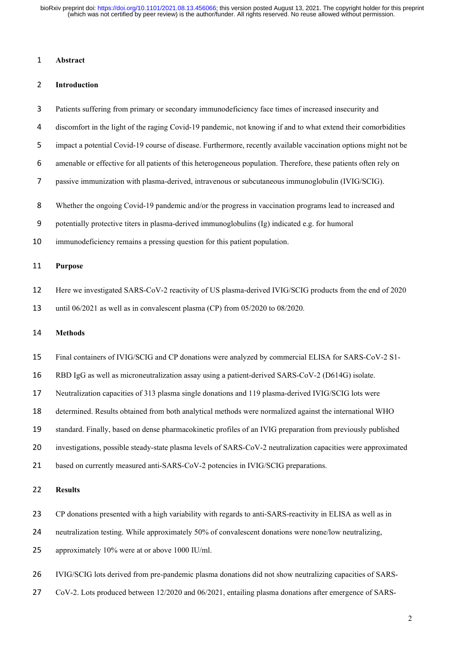(which was not certified by peer review) is the author/funder. All rights reserved. No reuse allowed without permission. bioRxiv preprint doi: [https://doi.org/10.1101/2021.08.13.456066;](https://doi.org/10.1101/2021.08.13.456066) this version posted August 13, 2021. The copyright holder for this preprint

### **Abstract**

## **Introduction**

- Patients suffering from primary or secondary immunodeficiency face times of increased insecurity and
- discomfort in the light of the raging Covid-19 pandemic, not knowing if and to what extend their comorbidities
- impact a potential Covid-19 course of disease. Furthermore, recently available vaccination options might not be
- amenable or effective for all patients of this heterogeneous population. Therefore, these patients often rely on
- passive immunization with plasma-derived, intravenous or subcutaneous immunoglobulin (IVIG/SCIG).
- Whether the ongoing Covid-19 pandemic and/or the progress in vaccination programs lead to increased and
- potentially protective titers in plasma-derived immunoglobulins (Ig) indicated e.g. for humoral
- immunodeficiency remains a pressing question for this patient population.

# **Purpose**

- Here we investigated SARS-CoV-2 reactivity of US plasma-derived IVIG/SCIG products from the end of 2020
- until 06/2021 as well as in convalescent plasma (CP) from 05/2020 to 08/2020.

### **Methods**

- Final containers of IVIG/SCIG and CP donations were analyzed by commercial ELISA for SARS-CoV-2 S1-
- RBD IgG as well as microneutralization assay using a patient-derived SARS-CoV-2 (D614G) isolate.
- Neutralization capacities of 313 plasma single donations and 119 plasma-derived IVIG/SCIG lots were
- determined. Results obtained from both analytical methods were normalized against the international WHO
- standard. Finally, based on dense pharmacokinetic profiles of an IVIG preparation from previously published
- investigations, possible steady-state plasma levels of SARS-CoV-2 neutralization capacities were approximated
- based on currently measured anti-SARS-CoV-2 potencies in IVIG/SCIG preparations.

## **Results**

- CP donations presented with a high variability with regards to anti-SARS-reactivity in ELISA as well as in
- neutralization testing. While approximately 50% of convalescent donations were none/low neutralizing,
- approximately 10% were at or above 1000 IU/ml.
- IVIG/SCIG lots derived from pre-pandemic plasma donations did not show neutralizing capacities of SARS-
- CoV-2. Lots produced between 12/2020 and 06/2021, entailing plasma donations after emergence of SARS-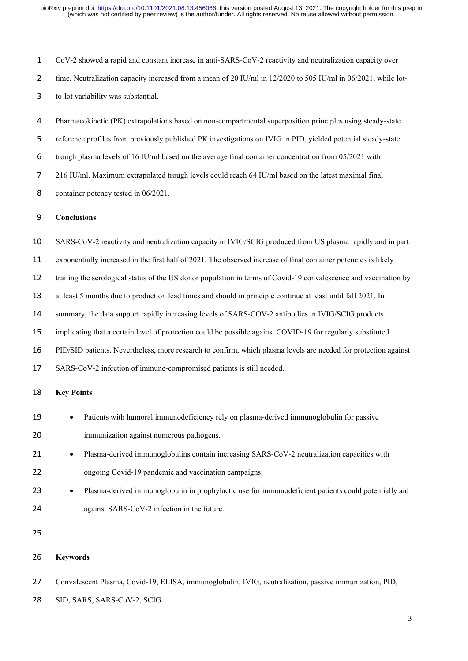CoV-2 showed a rapid and constant increase in anti-SARS-CoV-2 reactivity and neutralization capacity over 2 time. Neutralization capacity increased from a mean of 20 IU/ml in 12/2020 to 505 IU/ml in 06/2021, while lot-to-lot variability was substantial.

Pharmacokinetic (PK) extrapolations based on non-compartmental superposition principles using steady-state reference profiles from previously published PK investigations on IVIG in PID, yielded potential steady-state trough plasma levels of 16 IU/ml based on the average final container concentration from 05/2021 with 216 IU/ml. Maximum extrapolated trough levels could reach 64 IU/ml based on the latest maximal final container potency tested in 06/2021.

## **Conclusions**

SARS-CoV-2 reactivity and neutralization capacity in IVIG/SCIG produced from US plasma rapidly and in part

exponentially increased in the first half of 2021. The observed increase of final container potencies is likely

trailing the serological status of the US donor population in terms of Covid-19 convalescence and vaccination by

at least 5 months due to production lead times and should in principle continue at least until fall 2021. In

summary, the data support rapidly increasing levels of SARS-COV-2 antibodies in IVIG/SCIG products

implicating that a certain level of protection could be possible against COVID-19 for regularly substituted

PID/SID patients. Nevertheless, more research to confirm, which plasma levels are needed for protection against

SARS-CoV-2 infection of immune-compromised patients is still needed.

# **Key Points**

- Patients with humoral immunodeficiency rely on plasma-derived immunoglobulin for passive immunization against numerous pathogens.
- 21 Plasma-derived immunoglobulins contain increasing SARS-CoV-2 neutralization capacities with ongoing Covid-19 pandemic and vaccination campaigns.
- Plasma-derived immunoglobulin in prophylactic use for immunodeficient patients could potentially aid against SARS-CoV-2 infection in the future.

# **Keywords**

Convalescent Plasma, Covid-19, ELISA, immunoglobulin, IVIG, neutralization, passive immunization, PID,

28 SID, SARS, SARS-CoV-2, SCIG.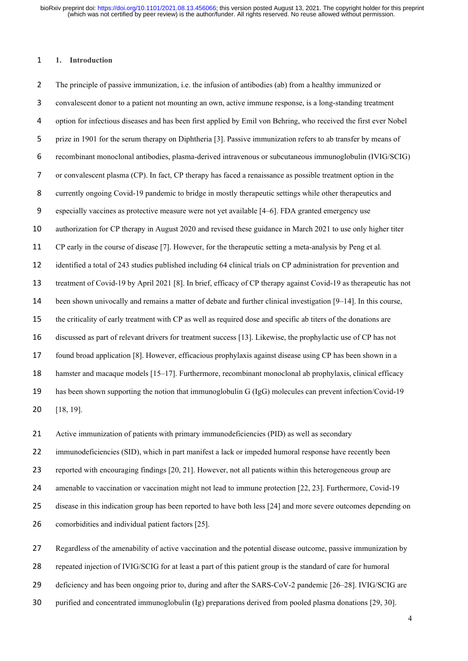#### **1. Introduction**

The principle of passive immunization, i.e. the infusion of antibodies (ab) from a healthy immunized or convalescent donor to a patient not mounting an own, active immune response, is a long-standing treatment option for infectious diseases and has been first applied by Emil von Behring, who received the first ever Nobel prize in 1901 for the serum therapy on Diphtheria [3]. Passive immunization refers to ab transfer by means of recombinant monoclonal antibodies, plasma-derived intravenous or subcutaneous immunoglobulin (IVIG/SCIG) or convalescent plasma (CP). In fact, CP therapy has faced a renaissance as possible treatment option in the currently ongoing Covid-19 pandemic to bridge in mostly therapeutic settings while other therapeutics and especially vaccines as protective measure were not yet available [4–6]. FDA granted emergency use authorization for CP therapy in August 2020 and revised these guidance in March 2021 to use only higher titer CP early in the course of disease [7]. However, for the therapeutic setting a meta-analysis by Peng et al*.* identified a total of 243 studies published including 64 clinical trials on CP administration for prevention and treatment of Covid-19 by April 2021 [8]. In brief, efficacy of CP therapy against Covid-19 as therapeutic has not been shown univocally and remains a matter of debate and further clinical investigation [9–14]. In this course, the criticality of early treatment with CP as well as required dose and specific ab titers of the donations are discussed as part of relevant drivers for treatment success [13]. Likewise, the prophylactic use of CP has not found broad application [8]. However, efficacious prophylaxis against disease using CP has been shown in a hamster and macaque models [15–17]. Furthermore, recombinant monoclonal ab prophylaxis, clinical efficacy has been shown supporting the notion that immunoglobulin G (IgG) molecules can prevent infection/Covid-19 [18, 19].

Active immunization of patients with primary immunodeficiencies (PID) as well as secondary

22 immunodeficiencies (SID), which in part manifest a lack or impeded humoral response have recently been

reported with encouraging findings [20, 21]. However, not all patients within this heterogeneous group are

amenable to vaccination or vaccination might not lead to immune protection [22, 23]. Furthermore, Covid-19

disease in this indication group has been reported to have both less [24] and more severe outcomes depending on

comorbidities and individual patient factors [25].

Regardless of the amenability of active vaccination and the potential disease outcome, passive immunization by

repeated injection of IVIG/SCIG for at least a part of this patient group is the standard of care for humoral

deficiency and has been ongoing prior to, during and after the SARS-CoV-2 pandemic [26–28]. IVIG/SCIG are

purified and concentrated immunoglobulin (Ig) preparations derived from pooled plasma donations [29, 30].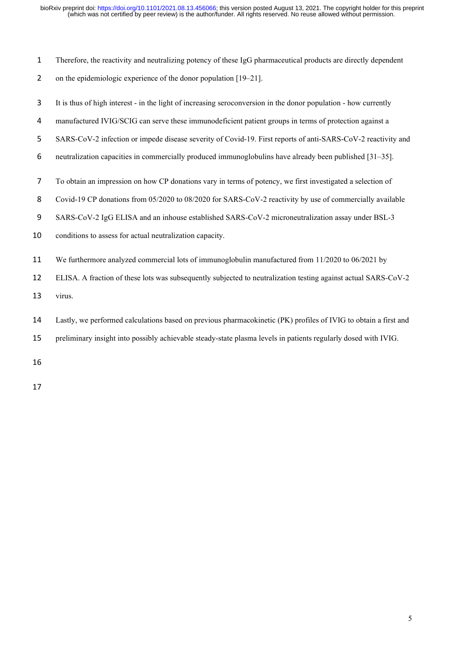- Therefore, the reactivity and neutralizing potency of these IgG pharmaceutical products are directly dependent
- 2 on the epidemiologic experience of the donor population [19–21].
- It is thus of high interest in the light of increasing seroconversion in the donor population how currently
- manufactured IVIG/SCIG can serve these immunodeficient patient groups in terms of protection against a
- SARS-CoV-2 infection or impede disease severity of Covid-19. First reports of anti-SARS-CoV-2 reactivity and
- neutralization capacities in commercially produced immunoglobulins have already been published [31–35].
- To obtain an impression on how CP donations vary in terms of potency, we first investigated a selection of
- 8 Covid-19 CP donations from 05/2020 to 08/2020 for SARS-CoV-2 reactivity by use of commercially available
- SARS-CoV-2 IgG ELISA and an inhouse established SARS-CoV-2 microneutralization assay under BSL-3
- conditions to assess for actual neutralization capacity.
- We furthermore analyzed commercial lots of immunoglobulin manufactured from 11/2020 to 06/2021 by
- ELISA. A fraction of these lots was subsequently subjected to neutralization testing against actual SARS-CoV-2

virus.

- Lastly, we performed calculations based on previous pharmacokinetic (PK) profiles of IVIG to obtain a first and
- preliminary insight into possibly achievable steady-state plasma levels in patients regularly dosed with IVIG.
- 
-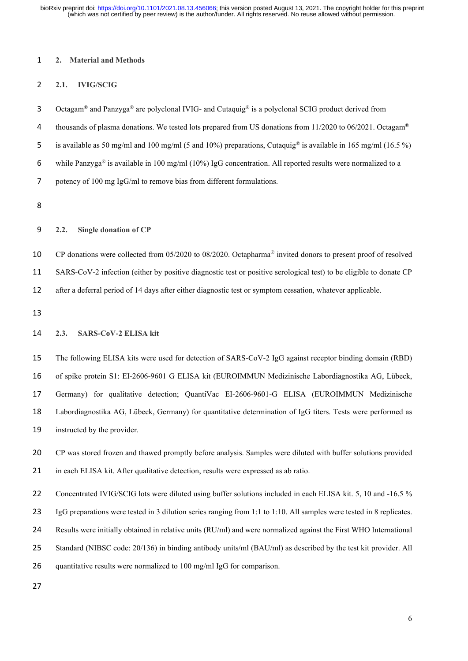(which was not certified by peer review) is the author/funder. All rights reserved. No reuse allowed without permission. bioRxiv preprint doi: [https://doi.org/10.1101/2021.08.13.456066;](https://doi.org/10.1101/2021.08.13.456066) this version posted August 13, 2021. The copyright holder for this preprint

#### **2. Material and Methods**

# **2.1. IVIG/SCIG**

3 Octagam<sup>®</sup> and Panzyga<sup>®</sup> are polyclonal IVIG- and Cutaquig<sup>®</sup> is a polyclonal SCIG product derived from

4 thousands of plasma donations. We tested lots prepared from US donations from 11/2020 to 06/2021. Octagam<sup>®</sup>

5 is available as 50 mg/ml and 100 mg/ml (5 and 10%) preparations, Cutaquig<sup>®</sup> is available in 165 mg/ml (16.5 %)

6 while Panzyga® is available in 100 mg/ml (10%) IgG concentration. All reported results were normalized to a

potency of 100 mg IgG/ml to remove bias from different formulations.

## **2.2. Single donation of CP**

10 CP donations were collected from 05/2020 to 08/2020. Octapharma<sup>®</sup> invited donors to present proof of resolved SARS-CoV-2 infection (either by positive diagnostic test or positive serological test) to be eligible to donate CP after a deferral period of 14 days after either diagnostic test or symptom cessation, whatever applicable.

# **2.3. SARS-CoV-2 ELISA kit**

 The following ELISA kits were used for detection of SARS-CoV-2 IgG against receptor binding domain (RBD) of spike protein S1: EI-2606-9601 G ELISA kit (EUROIMMUN Medizinische Labordiagnostika AG, Lübeck, Germany) for qualitative detection; QuantiVac EI-2606-9601-G ELISA (EUROIMMUN Medizinische Labordiagnostika AG, Lübeck, Germany) for quantitative determination of IgG titers. Tests were performed as instructed by the provider.

 CP was stored frozen and thawed promptly before analysis. Samples were diluted with buffer solutions provided 21 in each ELISA kit. After qualitative detection, results were expressed as ab ratio.

22 Concentrated IVIG/SCIG lots were diluted using buffer solutions included in each ELISA kit. 5, 10 and -16.5 %

IgG preparations were tested in 3 dilution series ranging from 1:1 to 1:10. All samples were tested in 8 replicates.

Results were initially obtained in relative units (RU/ml) and were normalized against the First WHO International

Standard (NIBSC code: 20/136) in binding antibody units/ml (BAU/ml) as described by the test kit provider. All

quantitative results were normalized to 100 mg/ml IgG for comparison.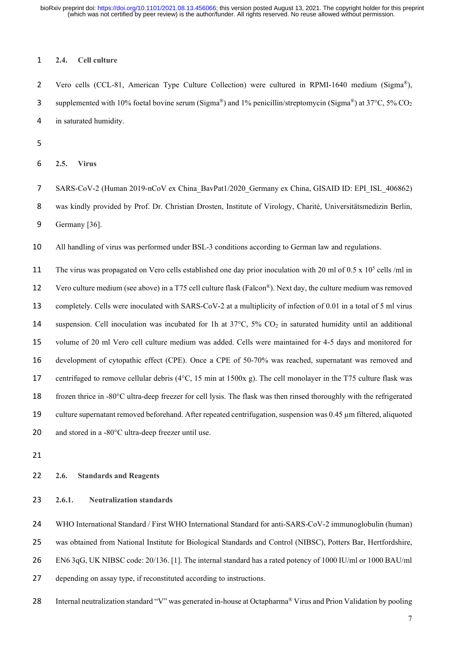## **2.4. Cell culture**

2 Vero cells (CCL-81, American Type Culture Collection) were cultured in RPMI-1640 medium (Sigma®), supplemented with 10% foetal bovine serum (Sigma®) and 1% penicillin/streptomycin (Sigma®) at 37°C, 5% CO<sub>2</sub> in saturated humidity.

**2.5. Virus**

7 SARS-CoV-2 (Human 2019-nCoV ex China\_BavPat1/2020\_Germany ex China, GISAID ID: EPI\_ISL\_406862) was kindly provided by Prof. Dr. Christian Drosten, Institute of Virology, Charité, Universitätsmedizin Berlin, Germany [36].

All handling of virus was performed under BSL-3 conditions according to German law and regulations.

11 The virus was propagated on Vero cells established one day prior inoculation with 20 ml of  $0.5 \times 10^5$  cells /ml in 12 Vero culture medium (see above) in a T75 cell culture flask (Falcon®). Next day, the culture medium was removed completely. Cells were inoculated with SARS-CoV-2 at a multiplicity of infection of 0.01 in a total of 5 ml virus 14 suspension. Cell inoculation was incubated for 1h at  $37^{\circ}$ C,  $5\%$  CO<sub>2</sub> in saturated humidity until an additional volume of 20 ml Vero cell culture medium was added. Cells were maintained for 4-5 days and monitored for development of cytopathic effect (CPE). Once a CPE of 50-70% was reached, supernatant was removed and centrifuged to remove cellular debris (4°C, 15 min at 1500x g). The cell monolayer in the T75 culture flask was frozen thrice in -80°C ultra-deep freezer for cell lysis. The flask was then rinsed thoroughly with the refrigerated culture supernatant removed beforehand. After repeated centrifugation, suspension was 0.45 µm filtered, aliquoted 20 and stored in a -80°C ultra-deep freezer until use.

#### **2.6. Standards and Reagents**

**2.6.1. Neutralization standards**

 WHO International Standard / First WHO International Standard for anti-SARS-CoV-2 immunoglobulin (human) was obtained from National Institute for Biological Standards and Control (NIBSC), Potters Bar, Hertfordshire, EN6 3qG, UK NIBSC code: 20/136. [1]. The internal standard has a rated potency of 1000 IU/ml or 1000 BAU/ml depending on assay type, if reconstituted according to instructions.

28 Internal neutralization standard "V" was generated in-house at Octapharma<sup>®</sup> Virus and Prion Validation by pooling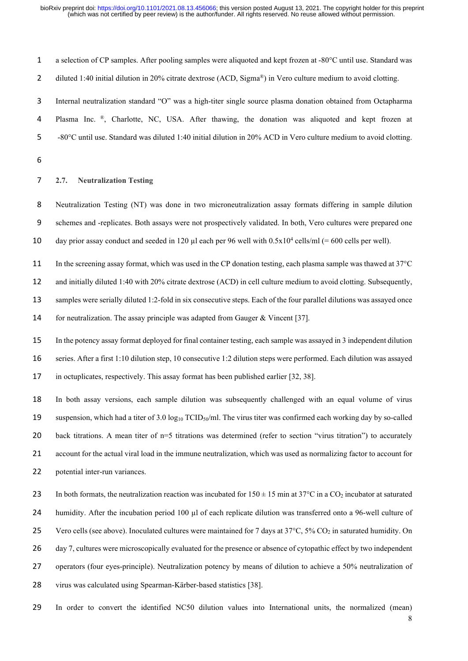| $\mathbf{1}$   | a selection of CP samples. After pooling samples were aliquoted and kept frozen at -80°C until use. Standard was                              |
|----------------|-----------------------------------------------------------------------------------------------------------------------------------------------|
| $\overline{2}$ | diluted 1:40 initial dilution in 20% citrate dextrose (ACD, Sigma®) in Vero culture medium to avoid clotting.                                 |
| 3              | Internal neutralization standard "O" was a high-titer single source plasma donation obtained from Octapharma                                  |
| 4              | Plasma Inc. ®, Charlotte, NC, USA. After thawing, the donation was aliquoted and kept frozen at                                               |
| 5              | -80°C until use. Standard was diluted 1:40 initial dilution in 20% ACD in Vero culture medium to avoid clotting.                              |
| 6              |                                                                                                                                               |
| $\overline{7}$ | <b>Neutralization Testing</b><br>2.7.                                                                                                         |
| 8              | Neutralization Testing (NT) was done in two microneutralization assay formats differing in sample dilution                                    |
| 9              | schemes and -replicates. Both assays were not prospectively validated. In both, Vero cultures were prepared one                               |
| 10             | day prior assay conduct and seeded in 120 µl each per 96 well with $0.5x10^4$ cells/ml (= 600 cells per well).                                |
| 11             | In the screening assay format, which was used in the CP donation testing, each plasma sample was thawed at 37°C                               |
| 12             | and initially diluted 1:40 with 20% citrate dextrose (ACD) in cell culture medium to avoid clotting. Subsequently,                            |
| 13             | samples were serially diluted 1:2-fold in six consecutive steps. Each of the four parallel dilutions was assayed once                         |
| 14             | for neutralization. The assay principle was adapted from Gauger & Vincent [37].                                                               |
| 15             | In the potency assay format deployed for final container testing, each sample was assayed in 3 independent dilution                           |
| 16             | series. After a first 1:10 dilution step, 10 consecutive 1:2 dilution steps were performed. Each dilution was assayed                         |
| 17             | in octuplicates, respectively. This assay format has been published earlier [32, 38].                                                         |
| 18             | In both assay versions, each sample dilution was subsequently challenged with an equal volume of virus                                        |
| 19             | suspension, which had a titer of 3.0 $log_{10}$ TCID <sub>50</sub> /ml. The virus titer was confirmed each working day by so-called           |
| 20             | back titrations. A mean titer of n=5 titrations was determined (refer to section "virus titration") to accurately                             |
| 21             | account for the actual viral load in the immune neutralization, which was used as normalizing factor to account for                           |
| 22             | potential inter-run variances.                                                                                                                |
| 23             | In both formats, the neutralization reaction was incubated for $150 \pm 15$ min at $37^{\circ}$ C in a CO <sub>2</sub> incubator at saturated |
| 24             | humidity. After the incubation period 100 µl of each replicate dilution was transferred onto a 96-well culture of                             |
| 25             | Vero cells (see above). Inoculated cultures were maintained for 7 days at 37°C, 5% CO2 in saturated humidity. On                              |

26 day 7, cultures were microscopically evaluated for the presence or absence of cytopathic effect by two independent

27 operators (four eyes-principle). Neutralization potency by means of dilution to achieve a 50% neutralization of

- 28 virus was calculated using Spearman-Kärber-based statistics [38].
- 29 In order to convert the identified NC50 dilution values into International units, the normalized (mean)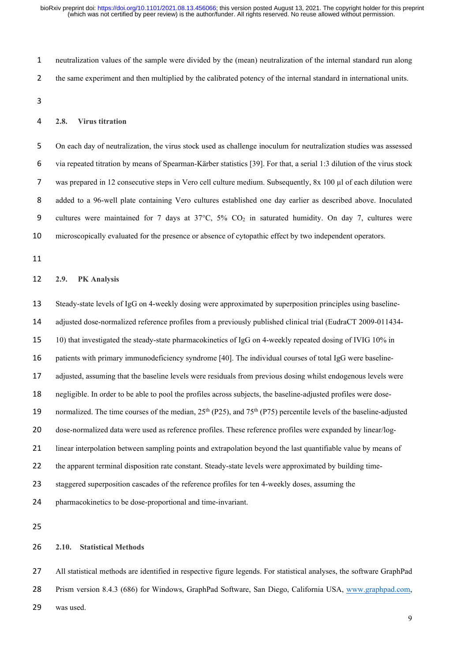neutralization values of the sample were divided by the (mean) neutralization of the internal standard run along the same experiment and then multiplied by the calibrated potency of the internal standard in international units.

#### **2.8. Virus titration**

On each day of neutralization, the virus stock used as challenge inoculum for neutralization studies was assessed via repeated titration by means of Spearman-Kärber statistics [39]. For that, a serial 1:3 dilution of the virus stock was prepared in 12 consecutive steps in Vero cell culture medium. Subsequently, 8x 100 µl of each dilution were added to a 96-well plate containing Vero cultures established one day earlier as described above. Inoculated 9 cultures were maintained for 7 days at  $37^{\circ}$ C,  $5\%$  CO<sub>2</sub> in saturated humidity. On day 7, cultures were microscopically evaluated for the presence or absence of cytopathic effect by two independent operators.

#### **2.9. PK Analysis**

 Steady-state levels of IgG on 4-weekly dosing were approximated by superposition principles using baseline- adjusted dose-normalized reference profiles from a previously published clinical trial (EudraCT 2009-011434- 10) that investigated the steady-state pharmacokinetics of IgG on 4-weekly repeated dosing of IVIG 10% in patients with primary immunodeficiency syndrome [40]. The individual courses of total IgG were baseline- adjusted, assuming that the baseline levels were residuals from previous dosing whilst endogenous levels were negligible. In order to be able to pool the profiles across subjects, the baseline-adjusted profiles were dose-19 normalized. The time courses of the median,  $25<sup>th</sup>$  (P25), and 75<sup>th</sup> (P75) percentile levels of the baseline-adjusted dose-normalized data were used as reference profiles. These reference profiles were expanded by linear/log- linear interpolation between sampling points and extrapolation beyond the last quantifiable value by means of 22 the apparent terminal disposition rate constant. Steady-state levels were approximated by building time- staggered superposition cascades of the reference profiles for ten 4-weekly doses, assuming the pharmacokinetics to be dose-proportional and time-invariant.

# **2.10. Statistical Methods**

 All statistical methods are identified in respective figure legends. For statistical analyses, the software GraphPad Prism version 8.4.3 (686) for Windows, GraphPad Software, San Diego, California USA, [www.graphpad.com,](http://www.graphpad.com/) was used.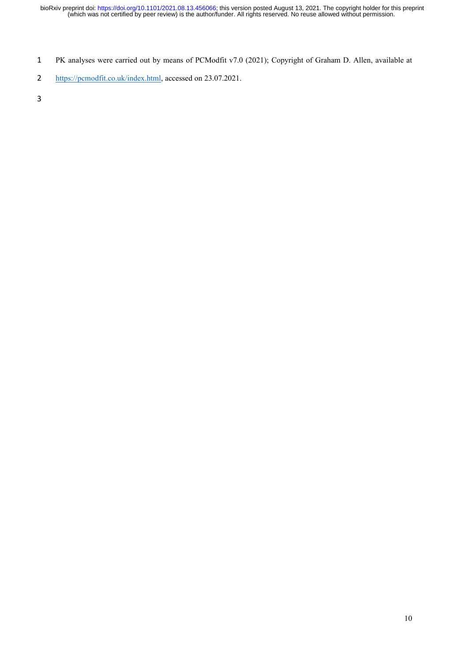PK analyses were carried out by means of PCModfit v7.0 (2021); Copyright of Graham D. Allen, available at

[https://pcmodfit.co.uk/index.html,](https://pcmodfit.co.uk/index.html) accessed on 23.07.2021.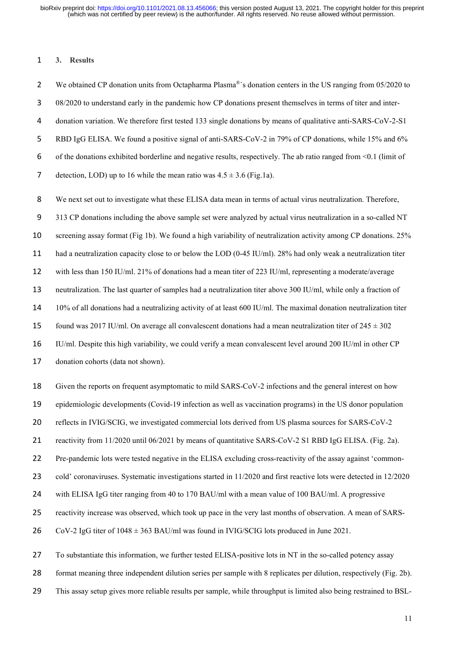#### **3. Results**

2 We obtained CP donation units from Octapharma Plasma<sup>®</sup>'s donation centers in the US ranging from 05/2020 to 08/2020 to understand early in the pandemic how CP donations present themselves in terms of titer and inter-donation variation. We therefore first tested 133 single donations by means of qualitative anti-SARS-CoV-2-S1 RBD IgG ELISA. We found a positive signal of anti-SARS-CoV-2 in 79% of CP donations, while 15% and 6% of the donations exhibited borderline and negative results, respectively. The ab ratio ranged from <0.1 (limit of 7 detection, LOD) up to 16 while the mean ratio was  $4.5 \pm 3.6$  (Fig.1a).

We next set out to investigate what these ELISA data mean in terms of actual virus neutralization. Therefore,

313 CP donations including the above sample set were analyzed by actual virus neutralization in a so-called NT

screening assay format (Fig 1b). We found a high variability of neutralization activity among CP donations. 25%

had a neutralization capacity close to or below the LOD (0-45 IU/ml). 28% had only weak a neutralization titer

with less than 150 IU/ml. 21% of donations had a mean titer of 223 IU/ml, representing a moderate/average

neutralization. The last quarter of samples had a neutralization titer above 300 IU/ml, while only a fraction of

10% of all donations had a neutralizing activity of at least 600 IU/ml. The maximal donation neutralization titer

15 found was 2017 IU/ml. On average all convalescent donations had a mean neutralization titer of  $245 \pm 302$ 

IU/ml. Despite this high variability, we could verify a mean convalescent level around 200 IU/ml in other CP

donation cohorts (data not shown).

Given the reports on frequent asymptomatic to mild SARS-CoV-2 infections and the general interest on how

epidemiologic developments (Covid-19 infection as well as vaccination programs) in the US donor population

reflects in IVIG/SCIG, we investigated commercial lots derived from US plasma sources for SARS-CoV-2

21 reactivity from 11/2020 until 06/2021 by means of quantitative SARS-CoV-2 S1 RBD IgG ELISA. (Fig. 2a).

Pre-pandemic lots were tested negative in the ELISA excluding cross-reactivity of the assay against 'common-

cold' coronaviruses. Systematic investigations started in 11/2020 and first reactive lots were detected in 12/2020

with ELISA IgG titer ranging from 40 to 170 BAU/ml with a mean value of 100 BAU/ml. A progressive

reactivity increase was observed, which took up pace in the very last months of observation. A mean of SARS-

26 CoV-2 IgG titer of  $1048 \pm 363$  BAU/ml was found in IVIG/SCIG lots produced in June 2021.

To substantiate this information, we further tested ELISA-positive lots in NT in the so-called potency assay

format meaning three independent dilution series per sample with 8 replicates per dilution, respectively (Fig. 2b).

This assay setup gives more reliable results per sample, while throughput is limited also being restrained to BSL-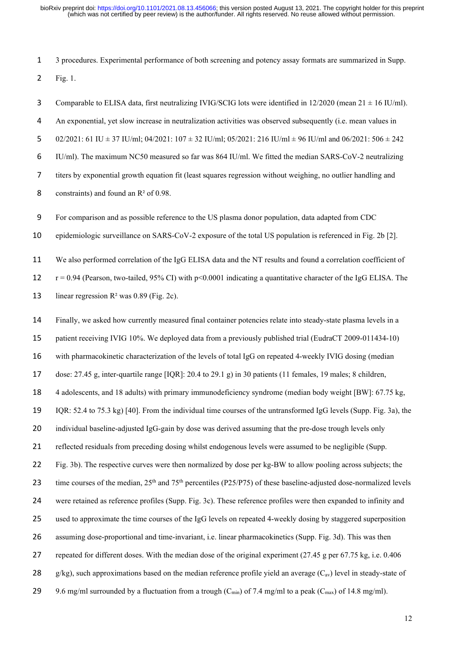3 procedures. Experimental performance of both screening and potency assay formats are summarized in Supp. Fig. 1.

3 Comparable to ELISA data, first neutralizing IVIG/SCIG lots were identified in  $12/2020$  (mean  $21 \pm 16$  IU/ml). An exponential, yet slow increase in neutralization activities was observed subsequently (i.e. mean values in 5 02/2021: 61 IU  $\pm$  37 IU/ml; 04/2021: 107  $\pm$  32 IU/ml; 05/2021: 216 IU/ml  $\pm$  96 IU/ml and 06/2021: 506  $\pm$  242 IU/ml). The maximum NC50 measured so far was 864 IU/ml. We fitted the median SARS-CoV-2 neutralizing titers by exponential growth equation fit (least squares regression without weighing, no outlier handling and 8 constraints) and found an  $R^2$  of 0.98.

For comparison and as possible reference to the US plasma donor population, data adapted from CDC

epidemiologic surveillance on SARS-CoV-2 exposure of the total US population is referenced in Fig. 2b [2].

 We also performed correlation of the IgG ELISA data and the NT results and found a correlation coefficient of 12  $r = 0.94$  (Pearson, two-tailed, 95% CI) with p<0.0001 indicating a quantitative character of the IgG ELISA. The 13 linear regression  $R^2$  was 0.89 (Fig. 2c).

Finally, we asked how currently measured final container potencies relate into steady-state plasma levels in a

patient receiving IVIG 10%. We deployed data from a previously published trial (EudraCT 2009-011434-10)

with pharmacokinetic characterization of the levels of total IgG on repeated 4-weekly IVIG dosing (median

dose: 27.45 g, inter-quartile range [IQR]: 20.4 to 29.1 g) in 30 patients (11 females, 19 males; 8 children,

4 adolescents, and 18 adults) with primary immunodeficiency syndrome (median body weight [BW]: 67.75 kg,

IQR: 52.4 to 75.3 kg) [40]. From the individual time courses of the untransformed IgG levels (Supp. Fig. 3a), the

20 individual baseline-adjusted IgG-gain by dose was derived assuming that the pre-dose trough levels only

reflected residuals from preceding dosing whilst endogenous levels were assumed to be negligible (Supp.

Fig. 3b). The respective curves were then normalized by dose per kg-BW to allow pooling across subjects; the

23 time courses of the median,  $25<sup>th</sup>$  and  $75<sup>th</sup>$  percentiles (P25/P75) of these baseline-adjusted dose-normalized levels

were retained as reference profiles (Supp. Fig. 3c). These reference profiles were then expanded to infinity and

used to approximate the time courses of the IgG levels on repeated 4-weekly dosing by staggered superposition

assuming dose-proportional and time-invariant, i.e. linear pharmacokinetics (Supp. Fig. 3d). This was then

repeated for different doses. With the median dose of the original experiment (27.45 g per 67.75 kg, i.e. 0.406

- 28 g/kg), such approximations based on the median reference profile yield an average  $(C_{av})$  level in steady-state of
- 29 9.6 mg/ml surrounded by a fluctuation from a trough  $(C_{min})$  of 7.4 mg/ml to a peak  $(C_{max})$  of 14.8 mg/ml).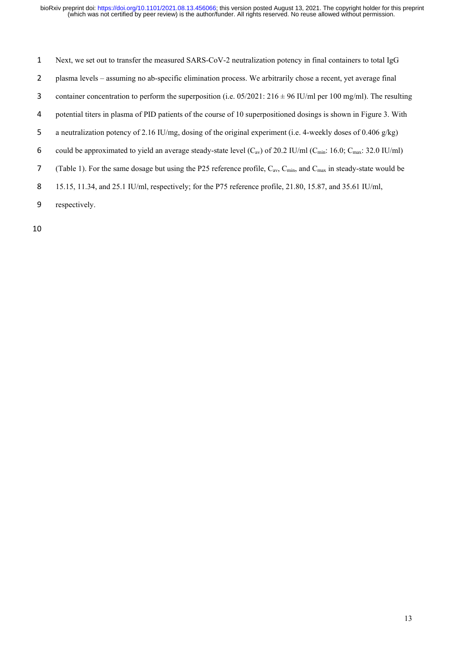- Next, we set out to transfer the measured SARS-CoV-2 neutralization potency in final containers to total IgG
- plasma levels assuming no ab-specific elimination process. We arbitrarily chose a recent, yet average final
- 3 container concentration to perform the superposition (i.e.  $05/2021: 216 \pm 96$  IU/ml per 100 mg/ml). The resulting
- potential titers in plasma of PID patients of the course of 10 superpositioned dosings is shown in Figure 3. With
- a neutralization potency of 2.16 IU/mg, dosing of the original experiment (i.e. 4-weekly doses of 0.406 g/kg)
- 6 could be approximated to yield an average steady-state level  $(C_{av})$  of 20.2 IU/ml  $(C_{min}: 16.0; C_{max}: 32.0 \text{ IU/ml})$
- 7 (Table 1). For the same dosage but using the P25 reference profile,  $C_{av}$ ,  $C_{min}$ , and  $C_{max}$  in steady-state would be
- 15.15, 11.34, and 25.1 IU/ml, respectively; for the P75 reference profile, 21.80, 15.87, and 35.61 IU/ml,
- respectively.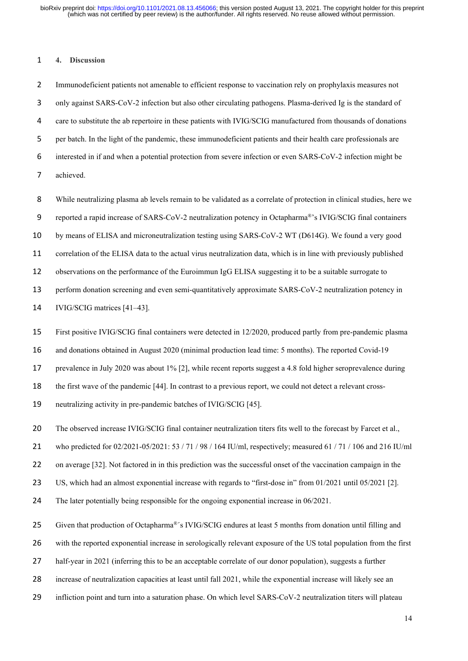#### **4. Discussion**

Immunodeficient patients not amenable to efficient response to vaccination rely on prophylaxis measures not only against SARS-CoV-2 infection but also other circulating pathogens. Plasma-derived Ig is the standard of 4 care to substitute the ab repertoire in these patients with IVIG/SCIG manufactured from thousands of donations per batch. In the light of the pandemic, these immunodeficient patients and their health care professionals are interested in if and when a potential protection from severe infection or even SARS-CoV-2 infection might be achieved.

While neutralizing plasma ab levels remain to be validated as a correlate of protection in clinical studies, here we 9 reported a rapid increase of SARS-CoV-2 neutralization potency in Octapharma®'s IVIG/SCIG final containers by means of ELISA and microneutralization testing using SARS-CoV-2 WT (D614G). We found a very good correlation of the ELISA data to the actual virus neutralization data, which is in line with previously published observations on the performance of the Euroimmun IgG ELISA suggesting it to be a suitable surrogate to perform donation screening and even semi-quantitatively approximate SARS-CoV-2 neutralization potency in IVIG/SCIG matrices [41–43].

 First positive IVIG/SCIG final containers were detected in 12/2020, produced partly from pre-pandemic plasma and donations obtained in August 2020 (minimal production lead time: 5 months). The reported Covid-19 prevalence in July 2020 was about 1% [2], while recent reports suggest a 4.8 fold higher seroprevalence during the first wave of the pandemic [44]. In contrast to a previous report, we could not detect a relevant cross-neutralizing activity in pre-pandemic batches of IVIG/SCIG [45].

20 The observed increase IVIG/SCIG final container neutralization titers fits well to the forecast by Farcet et al.,

who predicted for 02/2021-05/2021: 53 / 71 / 98 / 164 IU/ml, respectively; measured 61 / 71 / 106 and 216 IU/ml

22 on average [32]. Not factored in in this prediction was the successful onset of the vaccination campaign in the

US, which had an almost exponential increase with regards to "first-dose in" from 01/2021 until 05/2021 [2].

The later potentially being responsible for the ongoing exponential increase in 06/2021.

25 Given that production of Octapharma®'s IVIG/SCIG endures at least 5 months from donation until filling and

with the reported exponential increase in serologically relevant exposure of the US total population from the first

half-year in 2021 (inferring this to be an acceptable correlate of our donor population), suggests a further

increase of neutralization capacities at least until fall 2021, while the exponential increase will likely see an

infliction point and turn into a saturation phase. On which level SARS-CoV-2 neutralization titers will plateau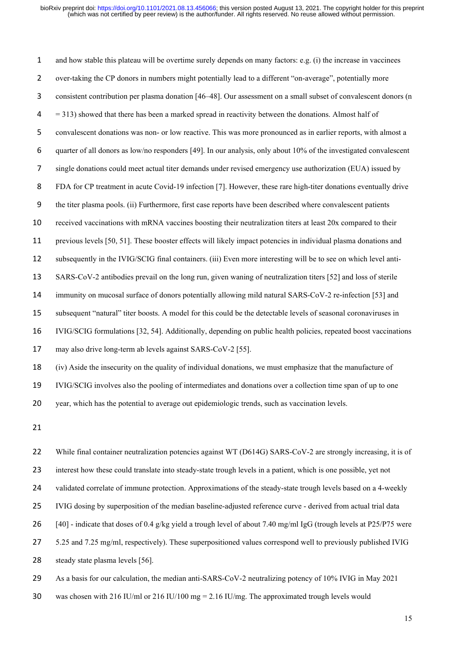and how stable this plateau will be overtime surely depends on many factors: e.g. (i) the increase in vaccinees over-taking the CP donors in numbers might potentially lead to a different "on-average", potentially more consistent contribution per plasma donation [46–48]. Our assessment on a small subset of convalescent donors (n = 313) showed that there has been a marked spread in reactivity between the donations. Almost half of convalescent donations was non- or low reactive. This was more pronounced as in earlier reports, with almost a quarter of all donors as low/no responders [49]. In our analysis, only about 10% of the investigated convalescent single donations could meet actual titer demands under revised emergency use authorization (EUA) issued by FDA for CP treatment in acute Covid-19 infection [7]. However, these rare high-titer donations eventually drive the titer plasma pools. (ii) Furthermore, first case reports have been described where convalescent patients received vaccinations with mRNA vaccines boosting their neutralization titers at least 20x compared to their previous levels [50, 51]. These booster effects will likely impact potencies in individual plasma donations and subsequently in the IVIG/SCIG final containers. (iii) Even more interesting will be to see on which level anti- SARS-CoV-2 antibodies prevail on the long run, given waning of neutralization titers [52] and loss of sterile immunity on mucosal surface of donors potentially allowing mild natural SARS-CoV-2 re-infection [53] and subsequent "natural" titer boosts. A model for this could be the detectable levels of seasonal coronaviruses in IVIG/SCIG formulations [32, 54]. Additionally, depending on public health policies, repeated boost vaccinations 17 may also drive long-term ab levels against SARS-CoV-2 [55]. (iv) Aside the insecurity on the quality of individual donations, we must emphasize that the manufacture of IVIG/SCIG involves also the pooling of intermediates and donations over a collection time span of up to one year, which has the potential to average out epidemiologic trends, such as vaccination levels.

22 While final container neutralization potencies against WT (D614G) SARS-CoV-2 are strongly increasing, it is of 23 interest how these could translate into steady-state trough levels in a patient, which is one possible, yet not 24 validated correlate of immune protection. Approximations of the steady-state trough levels based on a 4-weekly IVIG dosing by superposition of the median baseline-adjusted reference curve - derived from actual trial data 26 [40] - indicate that doses of 0.4 g/kg yield a trough level of about 7.40 mg/ml IgG (trough levels at P25/P75 were 27 5.25 and 7.25 mg/ml, respectively). These superpositioned values correspond well to previously published IVIG 28 steady state plasma levels [56]. As a basis for our calculation, the median anti-SARS-CoV-2 neutralizing potency of 10% IVIG in May 2021

was chosen with 216 IU/ml or 216 IU/100 mg = 2.16 IU/mg. The approximated trough levels would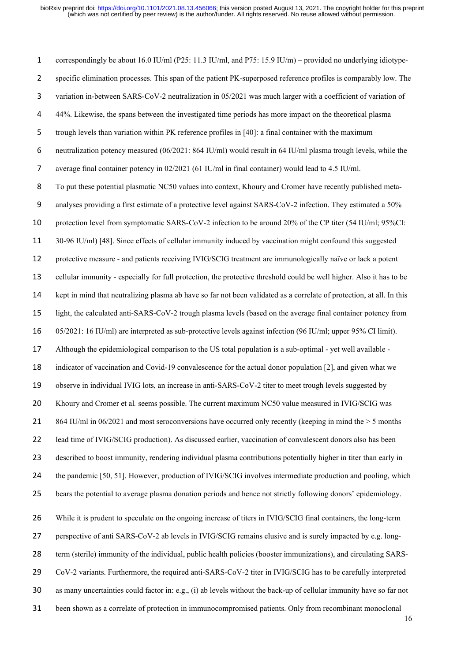correspondingly be about 16.0 IU/ml (P25: 11.3 IU/ml, and P75: 15.9 IU/m) – provided no underlying idiotype-specific elimination processes. This span of the patient PK-superposed reference profiles is comparably low. The variation in-between SARS-CoV-2 neutralization in 05/2021 was much larger with a coefficient of variation of 44%. Likewise, the spans between the investigated time periods has more impact on the theoretical plasma trough levels than variation within PK reference profiles in [40]: a final container with the maximum neutralization potency measured (06/2021: 864 IU/ml) would result in 64 IU/ml plasma trough levels, while the average final container potency in 02/2021 (61 IU/ml in final container) would lead to 4.5 IU/ml. To put these potential plasmatic NC50 values into context, Khoury and Cromer have recently published meta-analyses providing a first estimate of a protective level against SARS-CoV-2 infection. They estimated a 50% protection level from symptomatic SARS-CoV-2 infection to be around 20% of the CP titer (54 IU/ml; 95%CI: 30-96 IU/ml) [48]. Since effects of cellular immunity induced by vaccination might confound this suggested protective measure - and patients receiving IVIG/SCIG treatment are immunologically naïve or lack a potent cellular immunity - especially for full protection, the protective threshold could be well higher. Also it has to be kept in mind that neutralizing plasma ab have so far not been validated as a correlate of protection, at all. In this light, the calculated anti-SARS-CoV-2 trough plasma levels (based on the average final container potency from 05/2021: 16 IU/ml) are interpreted as sub-protective levels against infection (96 IU/ml; upper 95% CI limit). Although the epidemiological comparison to the US total population is a sub-optimal - yet well available - indicator of vaccination and Covid-19 convalescence for the actual donor population [2], and given what we observe in individual IVIG lots, an increase in anti-SARS-CoV-2 titer to meet trough levels suggested by Khoury and Cromer et al*.* seems possible. The current maximum NC50 value measured in IVIG/SCIG was 21 864 IU/ml in 06/2021 and most seroconversions have occurred only recently (keeping in mind the  $> 5$  months lead time of IVIG/SCIG production). As discussed earlier, vaccination of convalescent donors also has been described to boost immunity, rendering individual plasma contributions potentially higher in titer than early in 24 the pandemic [50, 51]. However, production of IVIG/SCIG involves intermediate production and pooling, which bears the potential to average plasma donation periods and hence not strictly following donors' epidemiology. While it is prudent to speculate on the ongoing increase of titers in IVIG/SCIG final containers, the long-term perspective of anti SARS-CoV-2 ab levels in IVIG/SCIG remains elusive and is surely impacted by e.g. long- term (sterile) immunity of the individual, public health policies (booster immunizations), and circulating SARS- CoV-2 variants. Furthermore, the required anti-SARS-CoV-2 titer in IVIG/SCIG has to be carefully interpreted as many uncertainties could factor in: e.g., (i) ab levels without the back-up of cellular immunity have so far not been shown as a correlate of protection in immunocompromised patients. Only from recombinant monoclonal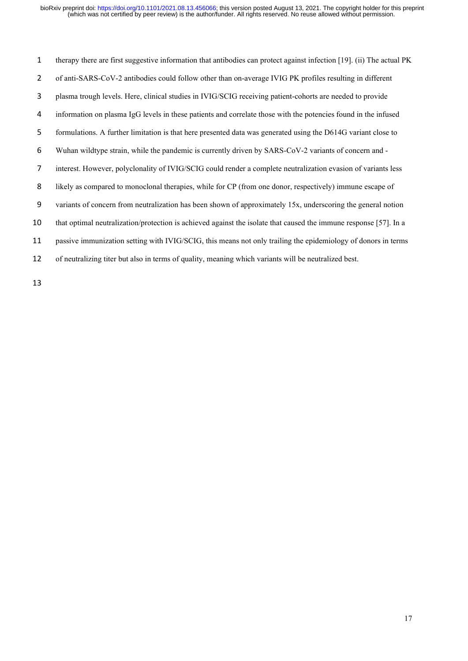therapy there are first suggestive information that antibodies can protect against infection [19]. (ii) The actual PK of anti-SARS-CoV-2 antibodies could follow other than on-average IVIG PK profiles resulting in different plasma trough levels. Here, clinical studies in IVIG/SCIG receiving patient-cohorts are needed to provide information on plasma IgG levels in these patients and correlate those with the potencies found in the infused formulations. A further limitation is that here presented data was generated using the D614G variant close to Wuhan wildtype strain, while the pandemic is currently driven by SARS-CoV-2 variants of concern and - interest. However, polyclonality of IVIG/SCIG could render a complete neutralization evasion of variants less likely as compared to monoclonal therapies, while for CP (from one donor, respectively) immune escape of variants of concern from neutralization has been shown of approximately 15x, underscoring the general notion that optimal neutralization/protection is achieved against the isolate that caused the immune response [57]. In a passive immunization setting with IVIG/SCIG, this means not only trailing the epidemiology of donors in terms of neutralizing titer but also in terms of quality, meaning which variants will be neutralized best.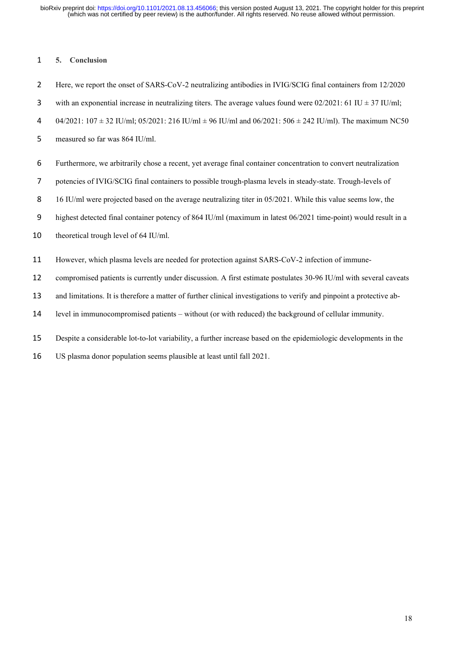### **5. Conclusion**

Here, we report the onset of SARS-CoV-2 neutralizing antibodies in IVIG/SCIG final containers from 12/2020

- 3 with an exponential increase in neutralizing titers. The average values found were  $02/2021$ : 61 IU  $\pm$  37 IU/ml;
- 04/2021: 107 ± 32 IU/ml; 05/2021: 216 IU/ml ± 96 IU/ml and 06/2021: 506 ± 242 IU/ml). The maximum NC50
- measured so far was 864 IU/ml.
- Furthermore, we arbitrarily chose a recent, yet average final container concentration to convert neutralization
- potencies of IVIG/SCIG final containers to possible trough-plasma levels in steady-state. Trough-levels of
- 8 16 IU/ml were projected based on the average neutralizing titer in 05/2021. While this value seems low, the
- highest detected final container potency of 864 IU/ml (maximum in latest 06/2021 time-point) would result in a
- theoretical trough level of 64 IU/ml.
- However, which plasma levels are needed for protection against SARS-CoV-2 infection of immune-
- compromised patients is currently under discussion. A first estimate postulates 30-96 IU/ml with several caveats
- and limitations. It is therefore a matter of further clinical investigations to verify and pinpoint a protective ab-
- level in immunocompromised patients without (or with reduced) the background of cellular immunity.
- Despite a considerable lot-to-lot variability, a further increase based on the epidemiologic developments in the
- US plasma donor population seems plausible at least until fall 2021.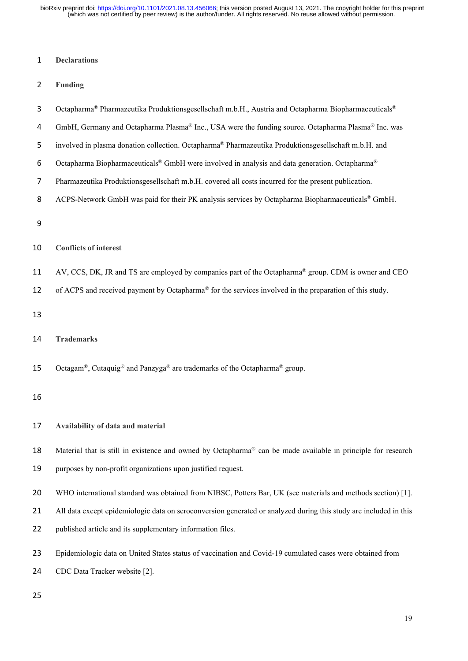(which was not certified by peer review) is the author/funder. All rights reserved. No reuse allowed without permission. bioRxiv preprint doi: [https://doi.org/10.1101/2021.08.13.456066;](https://doi.org/10.1101/2021.08.13.456066) this version posted August 13, 2021. The copyright holder for this preprint

### 1 **Declarations**

- 2 **Funding**
- 3 Octapharma<sup>®</sup> Pharmazeutika Produktionsgesellschaft m.b.H., Austria and Octapharma Biopharmaceuticals<sup>®</sup>
- 4 GmbH, Germany and Octapharma Plasma® Inc., USA were the funding source. Octapharma Plasma® Inc. was
- 5 involved in plasma donation collection. Octapharma® Pharmazeutika Produktionsgesellschaft m.b.H. and
- Octapharma Biopharmaceuticals® GmbH were involved in analysis and data generation. Octapharma® 6
- 7 Pharmazeutika Produktionsgesellschaft m.b.H. covered all costs incurred for the present publication.
- 8 ACPS-Network GmbH was paid for their PK analysis services by Octapharma Biopharmaceuticals® GmbH.

9

# 10 **Conflicts of interest**

11 AV, CCS, DK, JR and TS are employed by companies part of the Octapharma<sup>®</sup> group. CDM is owner and CEO

12 of ACPS and received payment by Octapharma<sup>®</sup> for the services involved in the preparation of this study.

13

14 **Trademarks**

15 Octagam®, Cutaquig<sup>®</sup> and Panzyga<sup>®</sup> are trademarks of the Octapharma<sup>®</sup> group.

16

# 17 **Availability of data and material**

18 Material that is still in existence and owned by Octapharma® can be made available in principle for research 19 purposes by non-profit organizations upon justified request.

- 20 WHO international standard was obtained from NIBSC, Potters Bar, UK (see materials and methods section) [1].
- 21 All data except epidemiologic data on seroconversion generated or analyzed during this study are included in this
- 22 published article and its supplementary information files.
- 23 Epidemiologic data on United States status of vaccination and Covid-19 cumulated cases were obtained from
- 24 CDC Data Tracker website [2].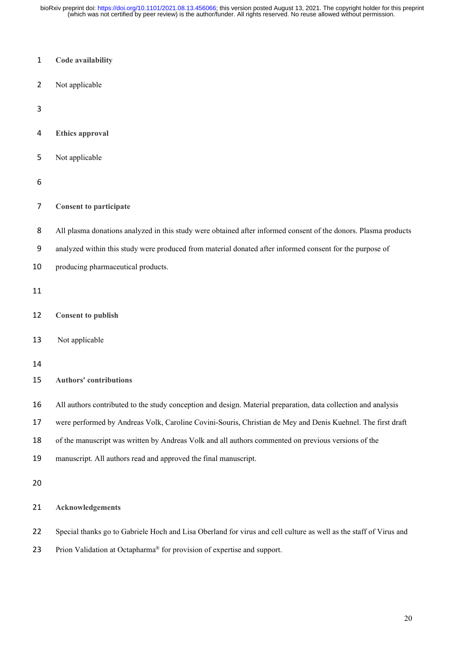(which was not certified by peer review) is the author/funder. All rights reserved. No reuse allowed without permission. bioRxiv preprint doi: [https://doi.org/10.1101/2021.08.13.456066;](https://doi.org/10.1101/2021.08.13.456066) this version posted August 13, 2021. The copyright holder for this preprint

- **Code availability**
- Not applicable
- 

**Ethics approval** 

- Not applicable
- 
- **Consent to participate**
- 8 All plasma donations analyzed in this study were obtained after informed consent of the donors. Plasma products
- analyzed within this study were produced from material donated after informed consent for the purpose of
- 10 producing pharmaceutical products.
- 
- **Consent to publish**
- Not applicable
- 
- **Authors' contributions**
- All authors contributed to the study conception and design. Material preparation, data collection and analysis
- were performed by Andreas Volk, Caroline Covini-Souris, Christian de Mey and Denis Kuehnel. The first draft
- of the manuscript was written by Andreas Volk and all authors commented on previous versions of the
- manuscript. All authors read and approved the final manuscript.
- 
- **Acknowledgements**
- Special thanks go to Gabriele Hoch and Lisa Oberland for virus and cell culture as well as the staff of Virus and
- 23 Prion Validation at Octapharma<sup>®</sup> for provision of expertise and support.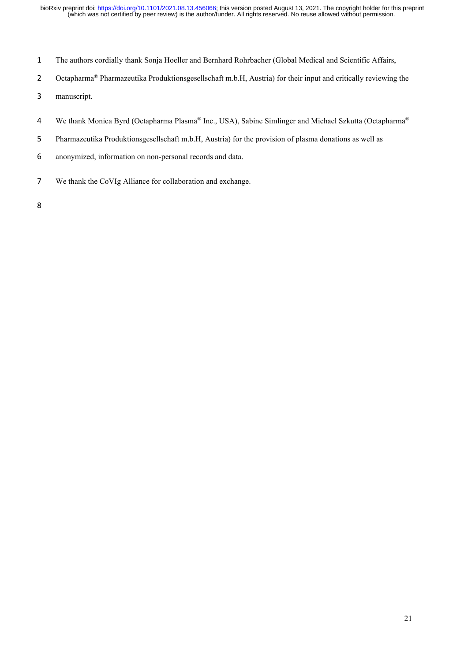- The authors cordially thank Sonja Hoeller and Bernhard Rohrbacher (Global Medical and Scientific Affairs,
- 2 Octapharma® Pharmazeutika Produktionsgesellschaft m.b.H, Austria) for their input and critically reviewing the
- manuscript.
- 4 We thank Monica Byrd (Octapharma Plasma® Inc., USA), Sabine Simlinger and Michael Szkutta (Octapharma®
- Pharmazeutika Produktionsgesellschaft m.b.H, Austria) for the provision of plasma donations as well as
- anonymized, information on non-personal records and data.
- We thank the CoVIg Alliance for collaboration and exchange.
-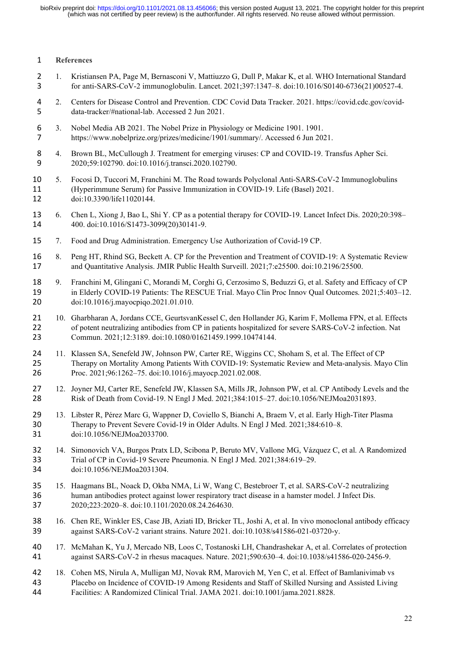# **References**

- 1. Kristiansen PA, Page M, Bernasconi V, Mattiuzzo G, Dull P, Makar K, et al. WHO International Standard for anti-SARS-CoV-2 immunoglobulin. Lancet. 2021;397:1347–8. doi:10.1016/S0140-6736(21)00527-4.
- 2. Centers for Disease Control and Prevention. CDC Covid Data Tracker. 2021. https://covid.cdc.gov/covid-data-tracker/#national-lab. Accessed 2 Jun 2021.
- 6 3. Nobel Media AB 2021. The Nobel Prize in Physiology or Medicine 1901. 1901.<br>7 https://www.nobelprize.org/prizes/medicine/1901/summary/. Accessed 6 Jun 2020 https://www.nobelprize.org/prizes/medicine/1901/summary/. Accessed 6 Jun 2021.
- 4. Brown BL, McCullough J. Treatment for emerging viruses: CP and COVID-19. Transfus Apher Sci. 2020;59:102790. doi:10.1016/j.transci.2020.102790.
- 5. Focosi D, Tuccori M, Franchini M. The Road towards Polyclonal Anti-SARS-CoV-2 Immunoglobulins (Hyperimmune Serum) for Passive Immunization in COVID-19. Life (Basel) 2021. doi:10.3390/life11020144.
- 6. Chen L, Xiong J, Bao L, Shi Y. CP as a potential therapy for COVID-19. Lancet Infect Dis. 2020;20:398– 400. doi:10.1016/S1473-3099(20)30141-9.
- 7. Food and Drug Administration. Emergency Use Authorization of Covid-19 CP.
- 8. Peng HT, Rhind SG, Beckett A. CP for the Prevention and Treatment of COVID-19: A Systematic Review and Quantitative Analysis. JMIR Public Health Surveill. 2021;7:e25500. doi:10.2196/25500.
- 9. Franchini M, Glingani C, Morandi M, Corghi G, Cerzosimo S, Beduzzi G, et al. Safety and Efficacy of CP in Elderly COVID-19 Patients: The RESCUE Trial. Mayo Clin Proc Innov Qual Outcomes. 2021;5:403–12. doi:10.1016/j.mayocpiqo.2021.01.010.
- 10. Gharbharan A, Jordans CCE, GeurtsvanKessel C, den Hollander JG, Karim F, Mollema FPN, et al. Effects 22 of potent neutralizing antibodies from CP in patients hospitalized for severe SARS-CoV-2 infection. Nat Commun. 2021;12:3189. doi:10.1080/01621459.1999.10474144.
- 11. Klassen SA, Senefeld JW, Johnson PW, Carter RE, Wiggins CC, Shoham S, et al. The Effect of CP Therapy on Mortality Among Patients With COVID-19: Systematic Review and Meta-analysis. Mayo Clin Proc. 2021;96:1262–75. doi:10.1016/j.mayocp.2021.02.008.
- 12. Joyner MJ, Carter RE, Senefeld JW, Klassen SA, Mills JR, Johnson PW, et al. CP Antibody Levels and the Risk of Death from Covid-19. N Engl J Med. 2021;384:1015–27. doi:10.1056/NEJMoa2031893.
- 13. Libster R, Pérez Marc G, Wappner D, Coviello S, Bianchi A, Braem V, et al. Early High-Titer Plasma Therapy to Prevent Severe Covid-19 in Older Adults. N Engl J Med. 2021;384:610–8. doi:10.1056/NEJMoa2033700.
- 14. Simonovich VA, Burgos Pratx LD, Scibona P, Beruto MV, Vallone MG, Vázquez C, et al. A Randomized Trial of CP in Covid-19 Severe Pneumonia. N Engl J Med. 2021;384:619–29. doi:10.1056/NEJMoa2031304.
- 15. Haagmans BL, Noack D, Okba NMA, Li W, Wang C, Bestebroer T, et al. SARS-CoV-2 neutralizing human antibodies protect against lower respiratory tract disease in a hamster model. J Infect Dis. 2020;223:2020–8. doi:10.1101/2020.08.24.264630.
- 16. Chen RE, Winkler ES, Case JB, Aziati ID, Bricker TL, Joshi A, et al. In vivo monoclonal antibody efficacy against SARS-CoV-2 variant strains. Nature 2021. doi:10.1038/s41586-021-03720-y.
- 17. McMahan K, Yu J, Mercado NB, Loos C, Tostanoski LH, Chandrashekar A, et al. Correlates of protection against SARS-CoV-2 in rhesus macaques. Nature. 2021;590:630–4. doi:10.1038/s41586-020-2456-9.
- 18. Cohen MS, Nirula A, Mulligan MJ, Novak RM, Marovich M, Yen C, et al. Effect of Bamlanivimab vs Placebo on Incidence of COVID-19 Among Residents and Staff of Skilled Nursing and Assisted Living Facilities: A Randomized Clinical Trial. JAMA 2021. doi:10.1001/jama.2021.8828.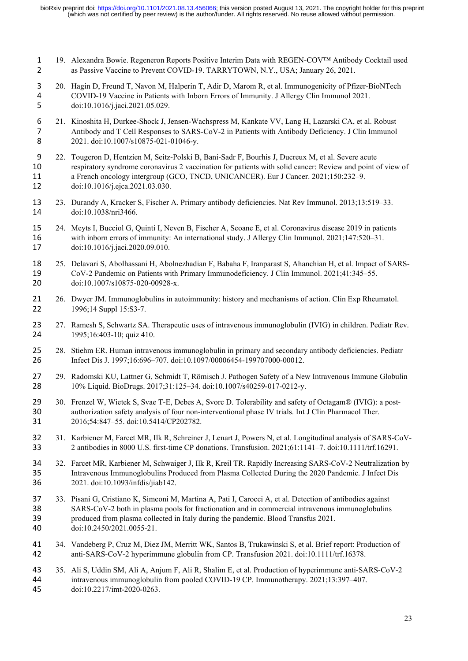- 19. Alexandra Bowie. Regeneron Reports Positive Interim Data with REGEN-COV™ Antibody Cocktail used as Passive Vaccine to Prevent COVID-19. TARRYTOWN, N.Y., USA; January 26, 2021.
- 20. Hagin D, Freund T, Navon M, Halperin T, Adir D, Marom R, et al. Immunogenicity of Pfizer-BioNTech COVID-19 Vaccine in Patients with Inborn Errors of Immunity. J Allergy Clin Immunol 2021. doi:10.1016/j.jaci.2021.05.029.
- 21. Kinoshita H, Durkee-Shock J, Jensen-Wachspress M, Kankate VV, Lang H, Lazarski CA, et al. Robust Antibody and T Cell Responses to SARS-CoV-2 in Patients with Antibody Deficiency. J Clin Immunol 8 2021. doi:10.1007/s10875-021-01046-y.
- 22. Tougeron D, Hentzien M, Seitz-Polski B, Bani-Sadr F, Bourhis J, Ducreux M, et al. Severe acute respiratory syndrome coronavirus 2 vaccination for patients with solid cancer: Review and point of view of a French oncology intergroup (GCO, TNCD, UNICANCER). Eur J Cancer. 2021;150:232–9. doi:10.1016/j.ejca.2021.03.030.
- 23. Durandy A, Kracker S, Fischer A. Primary antibody deficiencies. Nat Rev Immunol. 2013;13:519–33. doi:10.1038/nri3466.
- 24. Meyts I, Bucciol G, Quinti I, Neven B, Fischer A, Seoane E, et al. Coronavirus disease 2019 in patients with inborn errors of immunity: An international study. J Allergy Clin Immunol. 2021;147:520–31. doi:10.1016/j.jaci.2020.09.010.
- 25. Delavari S, Abolhassani H, Abolnezhadian F, Babaha F, Iranparast S, Ahanchian H, et al. Impact of SARS- CoV-2 Pandemic on Patients with Primary Immunodeficiency. J Clin Immunol. 2021;41:345–55. doi:10.1007/s10875-020-00928-x.
- 26. Dwyer JM. Immunoglobulins in autoimmunity: history and mechanisms of action. Clin Exp Rheumatol. 22 1996;14 Suppl 15:S3-7.
- 27. Ramesh S, Schwartz SA. Therapeutic uses of intravenous immunoglobulin (IVIG) in children. Pediatr Rev. 24 1995;16:403-10; quiz 410.
- 28. Stiehm ER. Human intravenous immunoglobulin in primary and secondary antibody deficiencies. Pediatr Infect Dis J. 1997;16:696–707. doi:10.1097/00006454-199707000-00012.
- 29. Radomski KU, Lattner G, Schmidt T, Römisch J. Pathogen Safety of a New Intravenous Immune Globulin 10% Liquid. BioDrugs. 2017;31:125–34. doi:10.1007/s40259-017-0212-y.
- 30. Frenzel W, Wietek S, Svae T-E, Debes A, Svorc D. Tolerability and safety of Octagam® (IVIG): a post- authorization safety analysis of four non-interventional phase IV trials. Int J Clin Pharmacol Ther. 2016;54:847–55. doi:10.5414/CP202782.
- 31. Karbiener M, Farcet MR, Ilk R, Schreiner J, Lenart J, Powers N, et al. Longitudinal analysis of SARS-CoV-2 antibodies in 8000 U.S. first-time CP donations. Transfusion. 2021;61:1141–7. doi:10.1111/trf.16291.
- 32. Farcet MR, Karbiener M, Schwaiger J, Ilk R, Kreil TR. Rapidly Increasing SARS-CoV-2 Neutralization by Intravenous Immunoglobulins Produced from Plasma Collected During the 2020 Pandemic. J Infect Dis 2021. doi:10.1093/infdis/jiab142.
- 33. Pisani G, Cristiano K, Simeoni M, Martina A, Pati I, Carocci A, et al. Detection of antibodies against SARS-CoV-2 both in plasma pools for fractionation and in commercial intravenous immunoglobulins produced from plasma collected in Italy during the pandemic. Blood Transfus 2021. doi:10.2450/2021.0055-21.
- 34. Vandeberg P, Cruz M, Diez JM, Merritt WK, Santos B, Trukawinski S, et al. Brief report: Production of anti-SARS-CoV-2 hyperimmune globulin from CP. Transfusion 2021. doi:10.1111/trf.16378.
- 35. Ali S, Uddin SM, Ali A, Anjum F, Ali R, Shalim E, et al. Production of hyperimmune anti-SARS-CoV-2 intravenous immunoglobulin from pooled COVID-19 CP. Immunotherapy. 2021;13:397–407. doi:10.2217/imt-2020-0263.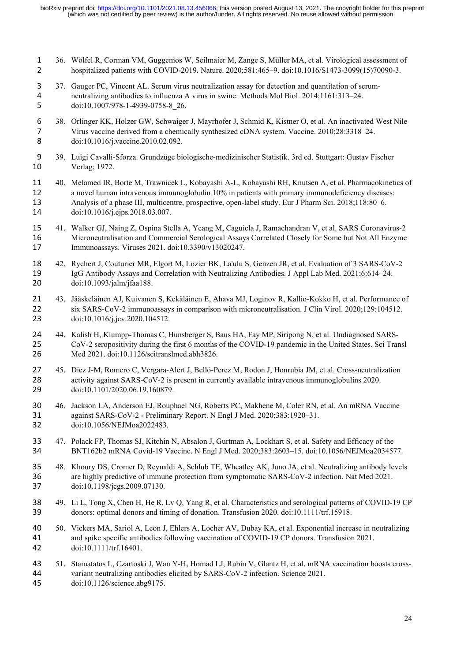- 36. Wölfel R, Corman VM, Guggemos W, Seilmaier M, Zange S, Müller MA, et al. Virological assessment of hospitalized patients with COVID-2019. Nature. 2020;581:465–9. doi:10.1016/S1473-3099(15)70090-3.
- 37. Gauger PC, Vincent AL. Serum virus neutralization assay for detection and quantitation of serum-neutralizing antibodies to influenza A virus in swine. Methods Mol Biol. 2014;1161:313–24. doi:10.1007/978-1-4939-0758-8\_26.
- 38. Orlinger KK, Holzer GW, Schwaiger J, Mayrhofer J, Schmid K, Kistner O, et al. An inactivated West Nile Virus vaccine derived from a chemically synthesized cDNA system. Vaccine. 2010;28:3318–24. 8 doi:10.1016/j.vaccine.2010.02.092.
- 39. Luigi Cavalli-Sforza. Grundzüge biologische-medizinischer Statistik. 3rd ed. Stuttgart: Gustav Fischer Verlag; 1972.
- 40. Melamed IR, Borte M, Trawnicek L, Kobayashi A-L, Kobayashi RH, Knutsen A, et al. Pharmacokinetics of a novel human intravenous immunoglobulin 10% in patients with primary immunodeficiency diseases: Analysis of a phase III, multicentre, prospective, open-label study. Eur J Pharm Sci. 2018;118:80–6. doi:10.1016/j.ejps.2018.03.007.
- 41. Walker GJ, Naing Z, Ospina Stella A, Yeang M, Caguicla J, Ramachandran V, et al. SARS Coronavirus-2 Microneutralisation and Commercial Serological Assays Correlated Closely for Some but Not All Enzyme Immunoassays. Viruses 2021. doi:10.3390/v13020247.
- 42. Rychert J, Couturier MR, Elgort M, Lozier BK, La'ulu S, Genzen JR, et al. Evaluation of 3 SARS-CoV-2 IgG Antibody Assays and Correlation with Neutralizing Antibodies. J Appl Lab Med. 2021;6:614–24. doi:10.1093/jalm/jfaa188.
- 43. Jääskeläinen AJ, Kuivanen S, Kekäläinen E, Ahava MJ, Loginov R, Kallio-Kokko H, et al. Performance of six SARS-CoV-2 immunoassays in comparison with microneutralisation. J Clin Virol. 2020;129:104512. doi:10.1016/j.jcv.2020.104512.
- 44. Kalish H, Klumpp-Thomas C, Hunsberger S, Baus HA, Fay MP, Siripong N, et al. Undiagnosed SARS- CoV-2 seropositivity during the first 6 months of the COVID-19 pandemic in the United States. Sci Transl Med 2021. doi:10.1126/scitranslmed.abh3826.
- 45. Díez J-M, Romero C, Vergara-Alert J, Belló-Perez M, Rodon J, Honrubia JM, et al. Cross-neutralization activity against SARS-CoV-2 is present in currently available intravenous immunoglobulins 2020. doi:10.1101/2020.06.19.160879.
- 46. Jackson LA, Anderson EJ, Rouphael NG, Roberts PC, Makhene M, Coler RN, et al. An mRNA Vaccine against SARS-CoV-2 - Preliminary Report. N Engl J Med. 2020;383:1920–31. doi:10.1056/NEJMoa2022483.
- 47. Polack FP, Thomas SJ, Kitchin N, Absalon J, Gurtman A, Lockhart S, et al. Safety and Efficacy of the BNT162b2 mRNA Covid-19 Vaccine. N Engl J Med. 2020;383:2603–15. doi:10.1056/NEJMoa2034577.
- 48. Khoury DS, Cromer D, Reynaldi A, Schlub TE, Wheatley AK, Juno JA, et al. Neutralizing antibody levels are highly predictive of immune protection from symptomatic SARS-CoV-2 infection. Nat Med 2021. doi:10.1198/jcgs.2009.07130.
- 49. Li L, Tong X, Chen H, He R, Lv Q, Yang R, et al. Characteristics and serological patterns of COVID-19 CP donors: optimal donors and timing of donation. Transfusion 2020. doi:10.1111/trf.15918.
- 50. Vickers MA, Sariol A, Leon J, Ehlers A, Locher AV, Dubay KA, et al. Exponential increase in neutralizing and spike specific antibodies following vaccination of COVID-19 CP donors. Transfusion 2021. doi:10.1111/trf.16401.
- 51. Stamatatos L, Czartoski J, Wan Y-H, Homad LJ, Rubin V, Glantz H, et al. mRNA vaccination boosts cross- variant neutralizing antibodies elicited by SARS-CoV-2 infection. Science 2021. doi:10.1126/science.abg9175.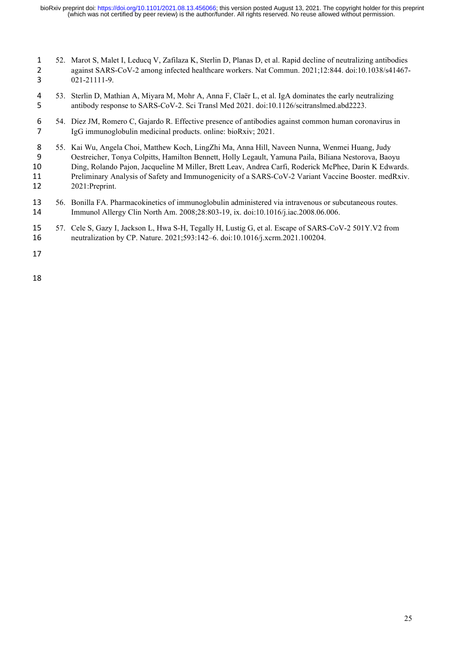- 52. Marot S, Malet I, Leducq V, Zafilaza K, Sterlin D, Planas D, et al. Rapid decline of neutralizing antibodies 2 against SARS-CoV-2 among infected healthcare workers. Nat Commun. 2021;12:844. doi:10.1038/s41467-021-21111-9.
- 53. Sterlin D, Mathian A, Miyara M, Mohr A, Anna F, Claër L, et al. IgA dominates the early neutralizing antibody response to SARS-CoV-2. Sci Transl Med 2021. doi:10.1126/scitranslmed.abd2223.
- 54. Díez JM, Romero C, Gajardo R. Effective presence of antibodies against common human coronavirus in IgG immunoglobulin medicinal products. online: bioRxiv; 2021.
- 55. Kai Wu, Angela Choi, Matthew Koch, LingZhi Ma, Anna Hill, Naveen Nunna, Wenmei Huang, Judy Oestreicher, Tonya Colpitts, Hamilton Bennett, Holly Legault, Yamuna Paila, Biliana Nestorova, Baoyu Ding, Rolando Pajon, Jacqueline M Miller, Brett Leav, Andrea Carfi, Roderick McPhee, Darin K Edwards. Preliminary Analysis of Safety and Immunogenicity of a SARS-CoV-2 Variant Vaccine Booster. medRxiv. 2021:Preprint.
- 56. Bonilla FA. Pharmacokinetics of immunoglobulin administered via intravenous or subcutaneous routes. Immunol Allergy Clin North Am. 2008;28:803-19, ix. doi:10.1016/j.iac.2008.06.006.
- 57. Cele S, Gazy I, Jackson L, Hwa S-H, Tegally H, Lustig G, et al. Escape of SARS-CoV-2 501Y.V2 from neutralization by CP. Nature. 2021;593:142–6. doi:10.1016/j.xcrm.2021.100204.
-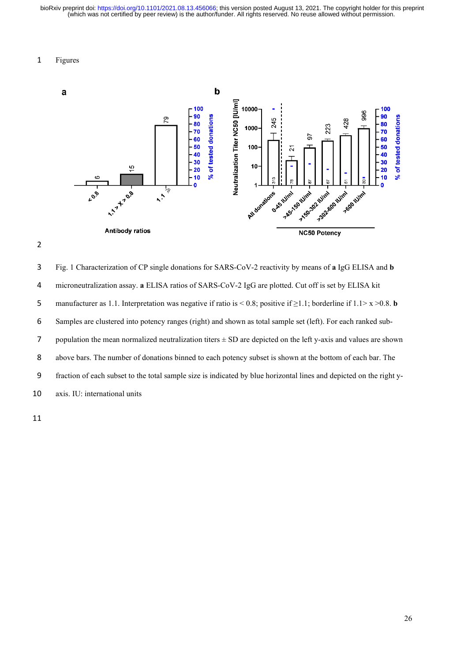### Figures





Fig. 1 Characterization of CP single donations for SARS-CoV-2 reactivity by means of **a** IgG ELISA and **b**  microneutralization assay. **a** ELISA ratios of SARS-CoV-2 IgG are plotted. Cut off is set by ELISA kit manufacturer as 1.1. Interpretation was negative if ratio is < 0.8; positive if ≥1.1; borderline if 1.1> x >0.8. **b** Samples are clustered into potency ranges (right) and shown as total sample set (left). For each ranked sub-7 population the mean normalized neutralization titers  $\pm$  SD are depicted on the left y-axis and values are shown above bars. The number of donations binned to each potency subset is shown at the bottom of each bar. The fraction of each subset to the total sample size is indicated by blue horizontal lines and depicted on the right y-axis. IU: international units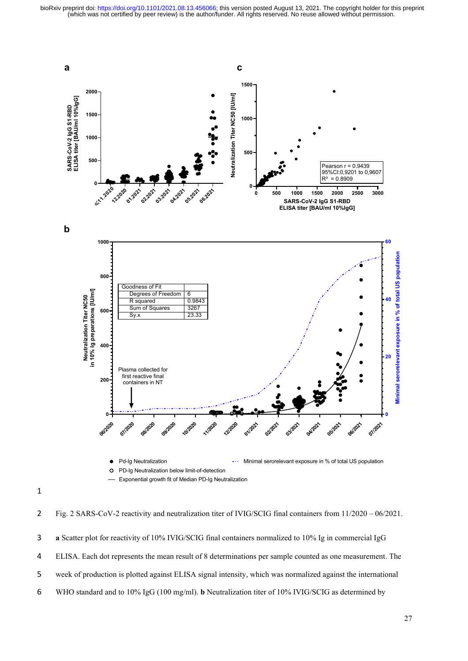

Fig. 2 SARS-CoV-2 reactivity and neutralization titer of IVIG/SCIG final containers from 11/2020 – 06/2021. **a** Scatter plot for reactivity of 10% IVIG/SCIG final containers normalized to 10% Ig in commercial IgG ELISA. Each dot represents the mean result of 8 determinations per sample counted as one measurement. The week of production is plotted against ELISA signal intensity, which was normalized against the international WHO standard and to 10% IgG (100 mg/ml). **b** Neutralization titer of 10% IVIG/SCIG as determined by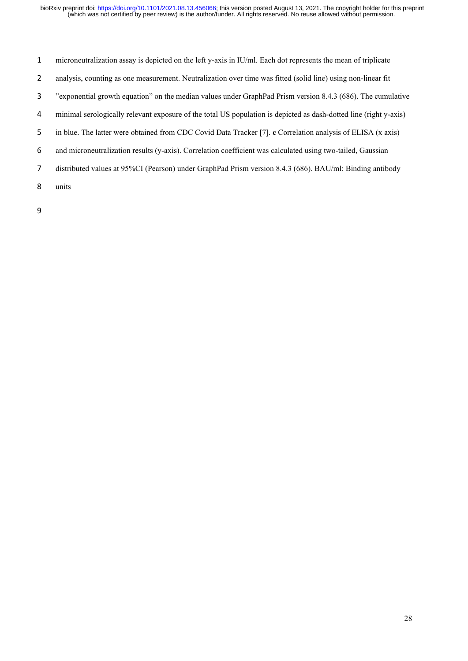- microneutralization assay is depicted on the left y-axis in IU/ml. Each dot represents the mean of triplicate
- analysis, counting as one measurement. Neutralization over time was fitted (solid line) using non-linear fit
- "exponential growth equation" on the median values under GraphPad Prism version 8.4.3 (686). The cumulative
- minimal serologically relevant exposure of the total US population is depicted as dash-dotted line (right y-axis)
- in blue. The latter were obtained from CDC Covid Data Tracker [7]. **c** Correlation analysis of ELISA (x axis)
- and microneutralization results (y-axis). Correlation coefficient was calculated using two-tailed, Gaussian
- distributed values at 95%CI (Pearson) under GraphPad Prism version 8.4.3 (686). BAU/ml: Binding antibody
- units
-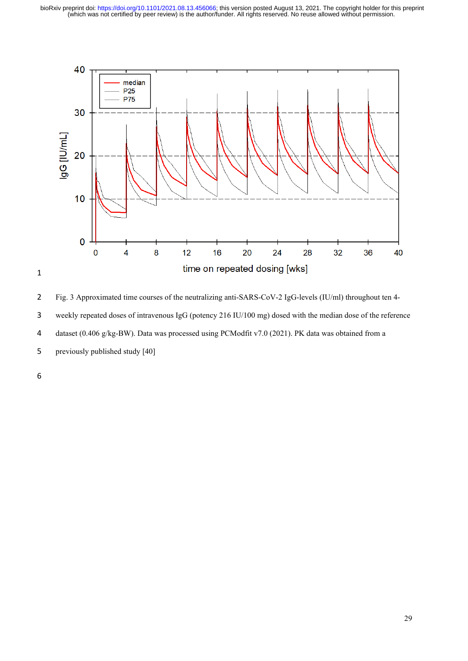

Fig. 3 Approximated time courses of the neutralizing anti-SARS-CoV-2 IgG-levels (IU/ml) throughout ten 4- weekly repeated doses of intravenous IgG (potency 216 IU/100 mg) dosed with the median dose of the reference dataset (0.406 g/kg-BW). Data was processed using PCModfit v7.0 (2021). PK data was obtained from a previously published study [40]